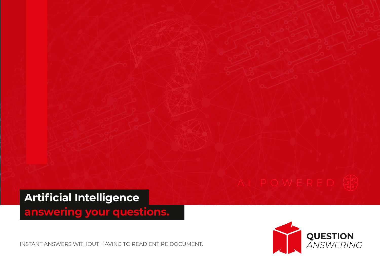

**answering your questions.**

INSTANT ANSWERS WITHOUT HAVING TO READ ENTIRE DOCUMENT.

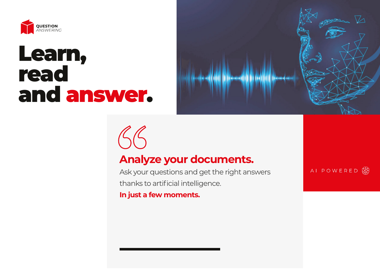

## Learn, read and answer.



# $46$

## **Analyze your documents.**

Ask your questions and get the right answers thanks to artificial intelligence.

**In just a few moments.**

AI POWERED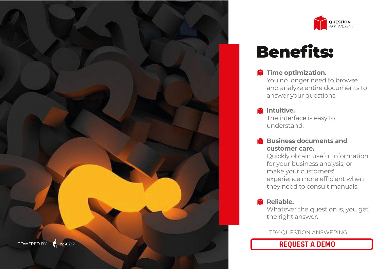



## Benefits:

**Time optimization.** 

You no longer need to browse and analyze entire documents to answer your questions.

- **intuitive.** The interface is easy to understand.
- **Business documents and customer care.**

Quickly obtain useful information for your business analysis, or make your customers' experience more efficient when they need to consult manuals.

#### **Reliable.**

Whatever the question is, you get the right answer.

TRY QUESTION ANSWERING